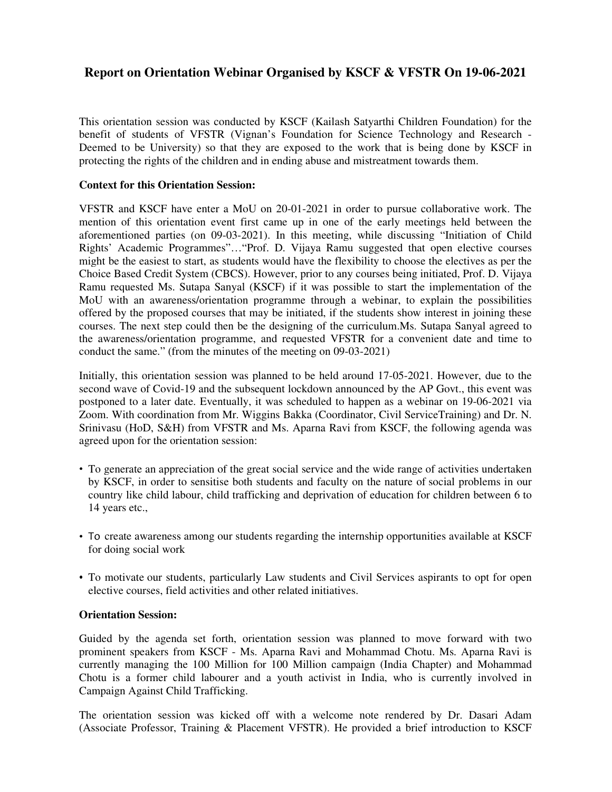## **Report on Orientation Webinar Organised by KSCF & VFSTR On 19-06-2021**

This orientation session was conducted by KSCF (Kailash Satyarthi Children Foundation) for the benefit of students of VFSTR (Vignan's Foundation for Science Technology and Research - Deemed to be University) so that they are exposed to the work that is being done by KSCF in protecting the rights of the children and in ending abuse and mistreatment towards them.

## **Context for this Orientation Session:**

VFSTR and KSCF have enter a MoU on 20-01-2021 in order to pursue collaborative work. The mention of this orientation event first came up in one of the early meetings held between the aforementioned parties (on 09-03-2021). In this meeting, while discussing "Initiation of Child Rights' Academic Programmes"…"Prof. D. Vijaya Ramu suggested that open elective courses might be the easiest to start, as students would have the flexibility to choose the electives as per the Choice Based Credit System (CBCS). However, prior to any courses being initiated, Prof. D. Vijaya Ramu requested Ms. Sutapa Sanyal (KSCF) if it was possible to start the implementation of the MoU with an awareness/orientation programme through a webinar, to explain the possibilities offered by the proposed courses that may be initiated, if the students show interest in joining these courses. The next step could then be the designing of the curriculum.Ms. Sutapa Sanyal agreed to the awareness/orientation programme, and requested VFSTR for a convenient date and time to conduct the same." (from the minutes of the meeting on 09-03-2021)

Initially, this orientation session was planned to be held around 17-05-2021. However, due to the second wave of Covid-19 and the subsequent lockdown announced by the AP Govt., this event was postponed to a later date. Eventually, it was scheduled to happen as a webinar on 19-06-2021 via Zoom. With coordination from Mr. Wiggins Bakka (Coordinator, Civil ServiceTraining) and Dr. N. Srinivasu (HoD, S&H) from VFSTR and Ms. Aparna Ravi from KSCF, the following agenda was agreed upon for the orientation session:

- To generate an appreciation of the great social service and the wide range of activities undertaken by KSCF, in order to sensitise both students and faculty on the nature of social problems in our country like child labour, child trafficking and deprivation of education for children between 6 to 14 years etc.,
- To create awareness among our students regarding the internship opportunities available at KSCF for doing social work
- To motivate our students, particularly Law students and Civil Services aspirants to opt for open elective courses, field activities and other related initiatives.

## **Orientation Session:**

Guided by the agenda set forth, orientation session was planned to move forward with two prominent speakers from KSCF - Ms. Aparna Ravi and Mohammad Chotu. Ms. Aparna Ravi is currently managing the 100 Million for 100 Million campaign (India Chapter) and Mohammad Chotu is a former child labourer and a youth activist in India, who is currently involved in Campaign Against Child Trafficking.

The orientation session was kicked off with a welcome note rendered by Dr. Dasari Adam (Associate Professor, Training & Placement VFSTR). He provided a brief introduction to KSCF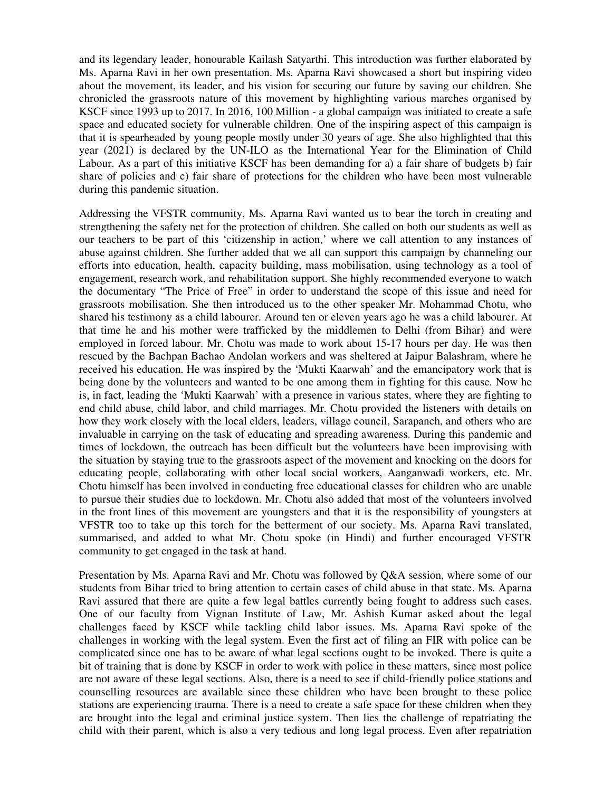and its legendary leader, honourable Kailash Satyarthi. This introduction was further elaborated by Ms. Aparna Ravi in her own presentation. Ms. Aparna Ravi showcased a short but inspiring video about the movement, its leader, and his vision for securing our future by saving our children. She chronicled the grassroots nature of this movement by highlighting various marches organised by KSCF since 1993 up to 2017. In 2016, 100 Million - a global campaign was initiated to create a safe space and educated society for vulnerable children. One of the inspiring aspect of this campaign is that it is spearheaded by young people mostly under 30 years of age. She also highlighted that this year (2021) is declared by the UN-ILO as the International Year for the Elimination of Child Labour. As a part of this initiative KSCF has been demanding for a) a fair share of budgets b) fair share of policies and c) fair share of protections for the children who have been most vulnerable during this pandemic situation.

Addressing the VFSTR community, Ms. Aparna Ravi wanted us to bear the torch in creating and strengthening the safety net for the protection of children. She called on both our students as well as our teachers to be part of this 'citizenship in action,' where we call attention to any instances of abuse against children. She further added that we all can support this campaign by channeling our efforts into education, health, capacity building, mass mobilisation, using technology as a tool of engagement, research work, and rehabilitation support. She highly recommended everyone to watch the documentary "The Price of Free" in order to understand the scope of this issue and need for grassroots mobilisation. She then introduced us to the other speaker Mr. Mohammad Chotu, who shared his testimony as a child labourer. Around ten or eleven years ago he was a child labourer. At that time he and his mother were trafficked by the middlemen to Delhi (from Bihar) and were employed in forced labour. Mr. Chotu was made to work about 15-17 hours per day. He was then rescued by the Bachpan Bachao Andolan workers and was sheltered at Jaipur Balashram, where he received his education. He was inspired by the 'Mukti Kaarwah' and the emancipatory work that is being done by the volunteers and wanted to be one among them in fighting for this cause. Now he is, in fact, leading the 'Mukti Kaarwah' with a presence in various states, where they are fighting to end child abuse, child labor, and child marriages. Mr. Chotu provided the listeners with details on how they work closely with the local elders, leaders, village council, Sarapanch, and others who are invaluable in carrying on the task of educating and spreading awareness. During this pandemic and times of lockdown, the outreach has been difficult but the volunteers have been improvising with the situation by staying true to the grassroots aspect of the movement and knocking on the doors for educating people, collaborating with other local social workers, Aanganwadi workers, etc. Mr. Chotu himself has been involved in conducting free educational classes for children who are unable to pursue their studies due to lockdown. Mr. Chotu also added that most of the volunteers involved in the front lines of this movement are youngsters and that it is the responsibility of youngsters at VFSTR too to take up this torch for the betterment of our society. Ms. Aparna Ravi translated, summarised, and added to what Mr. Chotu spoke (in Hindi) and further encouraged VFSTR community to get engaged in the task at hand.

Presentation by Ms. Aparna Ravi and Mr. Chotu was followed by Q&A session, where some of our students from Bihar tried to bring attention to certain cases of child abuse in that state. Ms. Aparna Ravi assured that there are quite a few legal battles currently being fought to address such cases. One of our faculty from Vignan Institute of Law, Mr. Ashish Kumar asked about the legal challenges faced by KSCF while tackling child labor issues. Ms. Aparna Ravi spoke of the challenges in working with the legal system. Even the first act of filing an FIR with police can be complicated since one has to be aware of what legal sections ought to be invoked. There is quite a bit of training that is done by KSCF in order to work with police in these matters, since most police are not aware of these legal sections. Also, there is a need to see if child-friendly police stations and counselling resources are available since these children who have been brought to these police stations are experiencing trauma. There is a need to create a safe space for these children when they are brought into the legal and criminal justice system. Then lies the challenge of repatriating the child with their parent, which is also a very tedious and long legal process. Even after repatriation